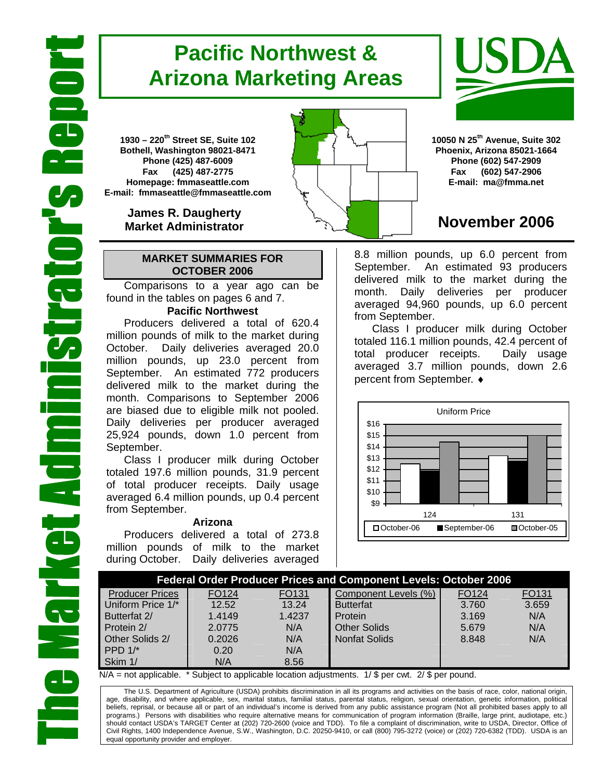# **Pacific Northwest & Arizona Marketing Areas**

**1930 – 220th Street SE, Suite 102 Bothell, Washington 98021-8471 Phone (425) 487-6009 Fax (425) 487-2775 Homepage: fmmaseattle.com E-mail: fmmaseattle@fmmaseattle.com**

> **James R. Daugherty Market Administrator**

#### **MARKET SUMMARIES FOR OCTOBER 2006**

 Comparisons to a year ago can be found in the tables on pages 6 and 7.

### **Pacific Northwest**

Producers delivered a total of 620.4 million pounds of milk to the market during October. Daily deliveries averaged 20.0 million pounds, up 23.0 percent from September. An estimated 772 producers delivered milk to the market during the month. Comparisons to September 2006 are biased due to eligible milk not pooled. Daily deliveries per producer averaged 25,924 pounds, down 1.0 percent from September.

Class I producer milk during October totaled 197.6 million pounds, 31.9 percent of total producer receipts. Daily usage averaged 6.4 million pounds, up 0.4 percent from September.

#### **Arizona**

Producers delivered a total of 273.8 million pounds of milk to the market during October. Daily deliveries averaged





**10050 N 25th Avenue, Suite 302 Phoenix, Arizona 85021-1664 Phone (602) 547-2909 Fax (602) 547-2906 E-mail: ma@fmma.net**

## **November 2006**

8.8 million pounds, up 6.0 percent from September. An estimated 93 producers delivered milk to the market during the month. Daily deliveries per producer averaged 94,960 pounds, up 6.0 percent from September.

Class I producer milk during October totaled 116.1 million pounds, 42.4 percent of total producer receipts. Daily usage averaged 3.7 million pounds, down 2.6 percent from September. ♦



| <b>Federal Order Producer Prices and Component Levels: October 2006</b> |                   |        |                      |       |       |  |  |  |
|-------------------------------------------------------------------------|-------------------|--------|----------------------|-------|-------|--|--|--|
| <b>Producer Prices</b>                                                  | FO <sub>124</sub> | FO131  | Component Levels (%) | FO124 | FO131 |  |  |  |
| Uniform Price 1/*                                                       | 12.52             | 13.24  | <b>Butterfat</b>     | 3.760 | 3.659 |  |  |  |
| Butterfat 2/                                                            | 1.4149            | 1.4237 | Protein              | 3.169 | N/A   |  |  |  |
| Protein 2/                                                              | 2.0775            | N/A    | <b>Other Solids</b>  | 5.679 | N/A   |  |  |  |
| Other Solids 2/                                                         | 0.2026            | N/A    | <b>Nonfat Solids</b> | 8.848 | N/A   |  |  |  |
| PPD $1$ <sup>*</sup>                                                    | 0.20              | N/A    |                      |       |       |  |  |  |
| Skim 1/                                                                 | N/A               | 8.56   |                      |       |       |  |  |  |

 $N/A$  = not applicable.  $*$  Subject to applicable location adjustments. 1/ \$ per cwt. 2/ \$ per pound.

The U.S. Department of Agriculture (USDA) prohibits discrimination in all its programs and activities on the basis of race, color, national origin, age, disability, and where applicable, sex, marital status, familial status, parental status, religion, sexual orientation, genetic information, political beliefs, reprisal, or because all or part of an individual's income is derived from any public assistance program (Not all prohibited bases apply to all programs.) Persons with disabilities who require alternative means for communication of program information (Braille, large print, audiotape, etc.) should contact USDA's TARGET Center at (202) 720-2600 (voice and TDD). To file a complaint of discrimination, write to USDA, Director, Office of Civil Rights, 1400 Independence Avenue, S.W., Washington, D.C. 20250-9410, or call (800) 795-3272 (voice) or (202) 720-6382 (TDD). USDA is an equal opportunity provider and employer.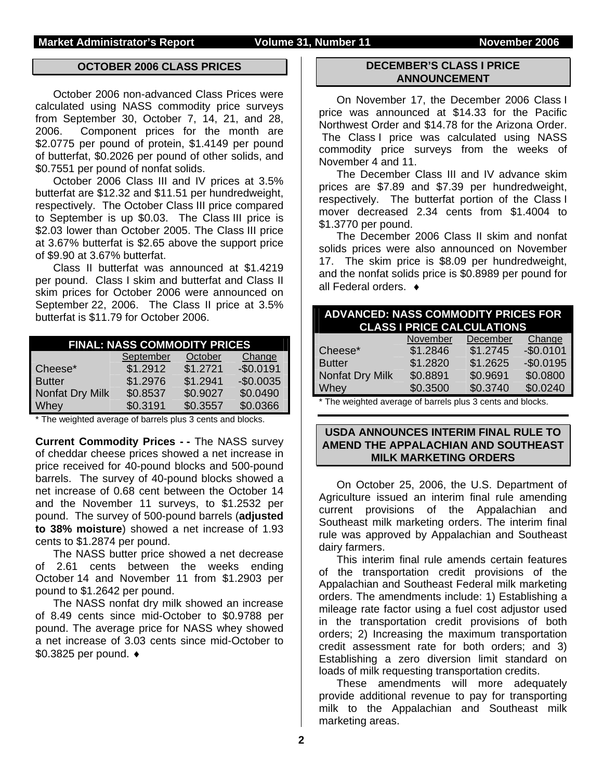#### **OCTOBER 2006 CLASS PRICES**

October 2006 non-advanced Class Prices were calculated using NASS commodity price surveys from September 30, October 7, 14, 21, and 28, 2006. Component prices for the month are \$2.0775 per pound of protein, \$1.4149 per pound of butterfat, \$0.2026 per pound of other solids, and \$0.7551 per pound of nonfat solids.

 October 2006 Class III and IV prices at 3.5% butterfat are \$12.32 and \$11.51 per hundredweight, respectively. The October Class III price compared to September is up \$0.03. The Class III price is \$2.03 lower than October 2005. The Class III price at 3.67% butterfat is \$2.65 above the support price of \$9.90 at 3.67% butterfat.

Class II butterfat was announced at \$1.4219 per pound. Class I skim and butterfat and Class II skim prices for October 2006 were announced on September 22, 2006. The Class II price at 3.5% butterfat is \$11.79 for October 2006.

| <b>FINAL: NASS COMMODITY PRICES</b> |           |          |            |  |  |  |  |
|-------------------------------------|-----------|----------|------------|--|--|--|--|
|                                     | September | October  | Change     |  |  |  |  |
| Cheese*                             | \$1.2912  | \$1.2721 | $-$0.0191$ |  |  |  |  |
| <b>Butter</b>                       | \$1.2976  | \$1.2941 | $-$0.0035$ |  |  |  |  |
| Nonfat Dry Milk                     | \$0.8537  | \$0.9027 | \$0.0490   |  |  |  |  |
| Whey                                | \$0.3191  | \$0.3557 | \$0.0366   |  |  |  |  |

\* The weighted average of barrels plus 3 cents and blocks.

**Current Commodity Prices - - The NASS survey** of cheddar cheese prices showed a net increase in price received for 40-pound blocks and 500-pound barrels. The survey of 40-pound blocks showed a net increase of 0.68 cent between the October 14 and the November 11 surveys, to \$1.2532 per pound. The survey of 500-pound barrels (**adjusted to 38% moisture**) showed a net increase of 1.93 cents to \$1.2874 per pound.

The NASS butter price showed a net decrease of 2.61 cents between the weeks ending October 14 and November 11 from \$1.2903 per pound to \$1.2642 per pound.

The NASS nonfat dry milk showed an increase of 8.49 cents since mid-October to \$0.9788 per pound. The average price for NASS whey showed a net increase of 3.03 cents since mid-October to \$0.3825 per pound. ♦

#### **DECEMBER'S CLASS I PRICE ANNOUNCEMENT**

 On November 17, the December 2006 Class I price was announced at \$14.33 for the Pacific Northwest Order and \$14.78 for the Arizona Order. The Class I price was calculated using NASS commodity price surveys from the weeks of November 4 and 11.

 The December Class III and IV advance skim prices are \$7.89 and \$7.39 per hundredweight, respectively. The butterfat portion of the Class I mover decreased 2.34 cents from \$1.4004 to \$1.3770 per pound.

 The December 2006 Class II skim and nonfat solids prices were also announced on November 17. The skim price is \$8.09 per hundredweight, and the nonfat solids price is \$0.8989 per pound for all Federal orders. ♦

| <b>ADVANCED: NASS COMMODITY PRICES FOR</b><br><b>CLASS I PRICE CALCULATIONS</b>      |          |          |            |  |  |  |
|--------------------------------------------------------------------------------------|----------|----------|------------|--|--|--|
|                                                                                      | November | December | Change     |  |  |  |
| Cheese*                                                                              | \$1.2846 | \$1.2745 | $-$0.0101$ |  |  |  |
| <b>Butter</b>                                                                        | \$1.2820 | \$1.2625 | $-$0.0195$ |  |  |  |
| Nonfat Dry Milk                                                                      | \$0.8891 | \$0.9691 | \$0.0800   |  |  |  |
| Whey                                                                                 | \$0.3500 | \$0.3740 | \$0.0240   |  |  |  |
| $\ast$ The constants described as a flower book of the constants of the distribution |          |          |            |  |  |  |

The weighted average of barrels plus 3 cents and blocks.

#### **USDA ANNOUNCES INTERIM FINAL RULE TO AMEND THE APPALACHIAN AND SOUTHEAST MILK MARKETING ORDERS**

On October 25, 2006, the U.S. Department of Agriculture issued an interim final rule amending current provisions of the Appalachian and Southeast milk marketing orders. The interim final rule was approved by Appalachian and Southeast dairy farmers.

This interim final rule amends certain features of the transportation credit provisions of the Appalachian and Southeast Federal milk marketing orders. The amendments include: 1) Establishing a mileage rate factor using a fuel cost adjustor used in the transportation credit provisions of both orders; 2) Increasing the maximum transportation credit assessment rate for both orders; and 3) Establishing a zero diversion limit standard on loads of milk requesting transportation credits.

These amendments will more adequately provide additional revenue to pay for transporting milk to the Appalachian and Southeast milk marketing areas.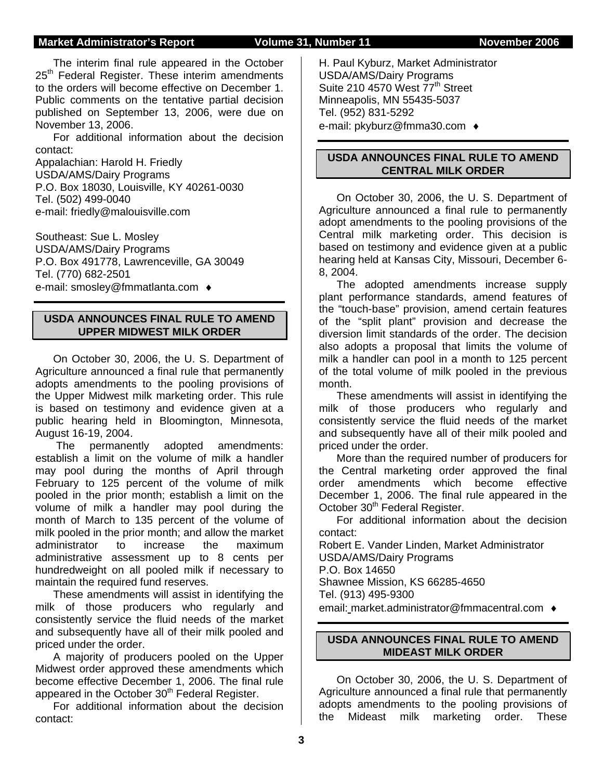#### **Market Administrator's Report Colume 31, Number 11 Colume 31, Number 2006**

The interim final rule appeared in the October 25<sup>th</sup> Federal Register. These interim amendments to the orders will become effective on December 1. Public comments on the tentative partial decision published on September 13, 2006, were due on November 13, 2006.

For additional information about the decision contact:

Appalachian: Harold H. Friedly USDA/AMS/Dairy Programs P.O. Box 18030, Louisville, KY 40261-0030 Tel. (502) 499-0040 e-mail: friedly@malouisville.com

Southeast: Sue L. Mosley USDA/AMS/Dairy Programs P.O. Box 491778, Lawrenceville, GA 30049 Tel. (770) 682-2501 e-mail: smosley@fmmatlanta.com ♦

### **USDA ANNOUNCES FINAL RULE TO AMEND UPPER MIDWEST MILK ORDER**

On October 30, 2006, the U. S. Department of Agriculture announced a final rule that permanently adopts amendments to the pooling provisions of the Upper Midwest milk marketing order. This rule is based on testimony and evidence given at a public hearing held in Bloomington, Minnesota, August 16-19, 2004.

 The permanently adopted amendments: establish a limit on the volume of milk a handler may pool during the months of April through February to 125 percent of the volume of milk pooled in the prior month; establish a limit on the volume of milk a handler may pool during the month of March to 135 percent of the volume of milk pooled in the prior month; and allow the market administrator to increase the maximum administrative assessment up to 8 cents per hundredweight on all pooled milk if necessary to maintain the required fund reserves.

These amendments will assist in identifying the milk of those producers who regularly and consistently service the fluid needs of the market and subsequently have all of their milk pooled and priced under the order.

A majority of producers pooled on the Upper Midwest order approved these amendments which become effective December 1, 2006. The final rule appeared in the October 30<sup>th</sup> Federal Register.

For additional information about the decision contact:

H. Paul Kyburz, Market Administrator USDA/AMS/Dairy Programs Suite 210 4570 West 77<sup>th</sup> Street Minneapolis, MN 55435-5037 Tel. (952) 831-5292 e-mail: pkyburz@fmma30.com ♦

### **USDA ANNOUNCES FINAL RULE TO AMEND CENTRAL MILK ORDER**

On October 30, 2006, the U. S. Department of Agriculture announced a final rule to permanently adopt amendments to the pooling provisions of the Central milk marketing order. This decision is based on testimony and evidence given at a public hearing held at Kansas City, Missouri, December 6- 8, 2004.

The adopted amendments increase supply plant performance standards, amend features of the "touch-base" provision, amend certain features of the "split plant" provision and decrease the diversion limit standards of the order. The decision also adopts a proposal that limits the volume of milk a handler can pool in a month to 125 percent of the total volume of milk pooled in the previous month.

These amendments will assist in identifying the milk of those producers who regularly and consistently service the fluid needs of the market and subsequently have all of their milk pooled and priced under the order.

More than the required number of producers for the Central marketing order approved the final order amendments which become effective December 1, 2006. The final rule appeared in the October 30<sup>th</sup> Federal Register.

For additional information about the decision contact:

Robert E. Vander Linden, Market Administrator USDA/AMS/Dairy Programs P.O. Box 14650 Shawnee Mission, KS 66285-4650 Tel. (913) 495-9300

email: market.administrator@fmmacentral.com ♦

# **USDA ANNOUNCES FINAL RULE TO AMEND**

**MIDEAST MILK ORDER** On October 30, 2006, the U. S. Department of Agriculture announced a final rule that permanently adopts amendments to the pooling provisions of

the Mideast milk marketing order. These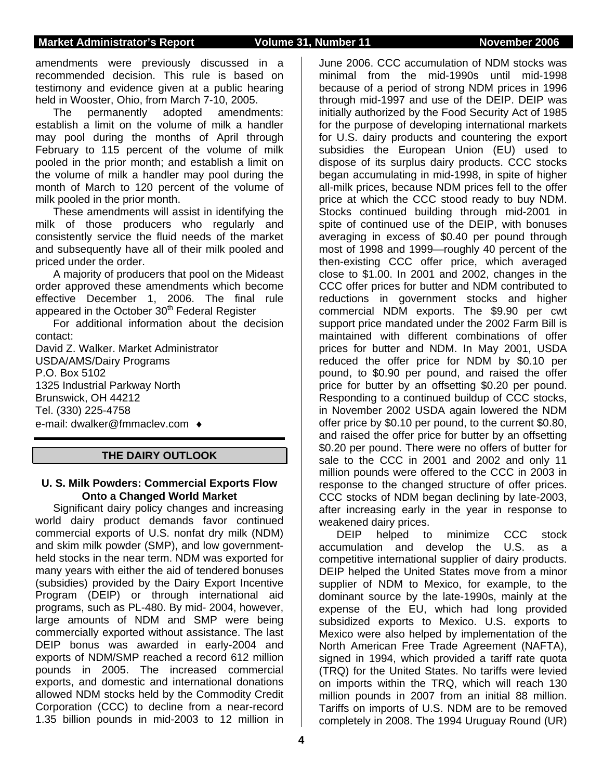#### **Market Administrator's Report Colume 31, Number 11 Movember 2006**

amendments were previously discussed in a recommended decision. This rule is based on testimony and evidence given at a public hearing held in Wooster, Ohio, from March 7-10, 2005.

The permanently adopted amendments: establish a limit on the volume of milk a handler may pool during the months of April through February to 115 percent of the volume of milk pooled in the prior month; and establish a limit on the volume of milk a handler may pool during the month of March to 120 percent of the volume of milk pooled in the prior month.

These amendments will assist in identifying the milk of those producers who regularly and consistently service the fluid needs of the market and subsequently have all of their milk pooled and priced under the order.

A majority of producers that pool on the Mideast order approved these amendments which become effective December 1, 2006. The final rule appeared in the October 30<sup>th</sup> Federal Register

For additional information about the decision contact:

David Z. Walker. Market Administrator USDA/AMS/Dairy Programs P.O. Box 5102 1325 Industrial Parkway North Brunswick, OH 44212 Tel. (330) 225-4758 e-mail: dwalker@fmmaclev.com ♦

### **THE DAIRY OUTLOOK**

#### **U. S. Milk Powders: Commercial Exports Flow Onto a Changed World Market**

Significant dairy policy changes and increasing world dairy product demands favor continued commercial exports of U.S. nonfat dry milk (NDM) and skim milk powder (SMP), and low governmentheld stocks in the near term. NDM was exported for many years with either the aid of tendered bonuses (subsidies) provided by the Dairy Export Incentive Program (DEIP) or through international aid programs, such as PL-480. By mid- 2004, however, large amounts of NDM and SMP were being commercially exported without assistance. The last DEIP bonus was awarded in early-2004 and exports of NDM/SMP reached a record 612 million pounds in 2005. The increased commercial exports, and domestic and international donations allowed NDM stocks held by the Commodity Credit Corporation (CCC) to decline from a near-record 1.35 billion pounds in mid-2003 to 12 million in

June 2006. CCC accumulation of NDM stocks was minimal from the mid-1990s until mid-1998 because of a period of strong NDM prices in 1996 through mid-1997 and use of the DEIP. DEIP was initially authorized by the Food Security Act of 1985 for the purpose of developing international markets for U.S. dairy products and countering the export subsidies the European Union (EU) used to dispose of its surplus dairy products. CCC stocks began accumulating in mid-1998, in spite of higher all-milk prices, because NDM prices fell to the offer price at which the CCC stood ready to buy NDM. Stocks continued building through mid-2001 in spite of continued use of the DEIP, with bonuses averaging in excess of \$0.40 per pound through most of 1998 and 1999—roughly 40 percent of the then-existing CCC offer price, which averaged close to \$1.00. In 2001 and 2002, changes in the CCC offer prices for butter and NDM contributed to reductions in government stocks and higher commercial NDM exports. The \$9.90 per cwt support price mandated under the 2002 Farm Bill is maintained with different combinations of offer prices for butter and NDM. In May 2001, USDA reduced the offer price for NDM by \$0.10 per pound, to \$0.90 per pound, and raised the offer price for butter by an offsetting \$0.20 per pound. Responding to a continued buildup of CCC stocks, in November 2002 USDA again lowered the NDM offer price by \$0.10 per pound, to the current \$0.80, and raised the offer price for butter by an offsetting \$0.20 per pound. There were no offers of butter for sale to the CCC in 2001 and 2002 and only 11 million pounds were offered to the CCC in 2003 in response to the changed structure of offer prices. CCC stocks of NDM began declining by late-2003, after increasing early in the year in response to weakened dairy prices.

DEIP helped to minimize CCC stock accumulation and develop the U.S. as a competitive international supplier of dairy products. DEIP helped the United States move from a minor supplier of NDM to Mexico, for example, to the dominant source by the late-1990s, mainly at the expense of the EU, which had long provided subsidized exports to Mexico. U.S. exports to Mexico were also helped by implementation of the North American Free Trade Agreement (NAFTA), signed in 1994, which provided a tariff rate quota (TRQ) for the United States. No tariffs were levied on imports within the TRQ, which will reach 130 million pounds in 2007 from an initial 88 million. Tariffs on imports of U.S. NDM are to be removed completely in 2008. The 1994 Uruguay Round (UR)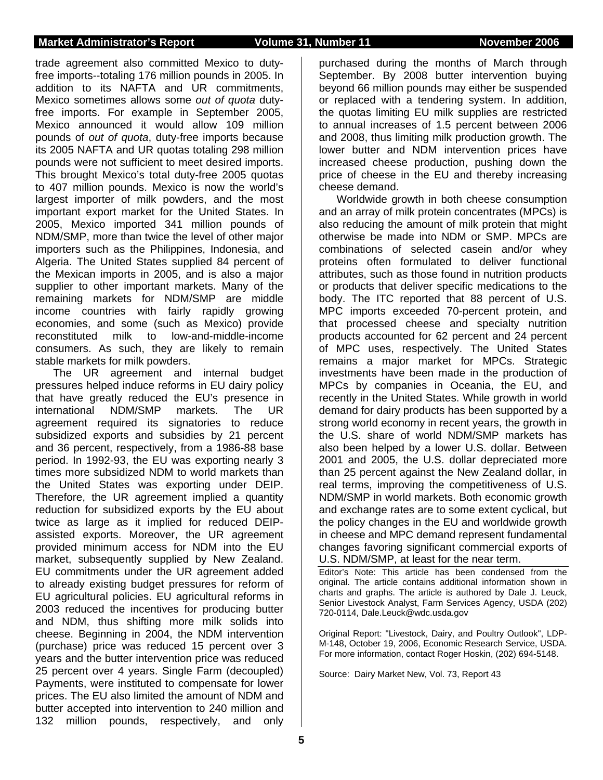trade agreement also committed Mexico to dutyfree imports--totaling 176 million pounds in 2005. In addition to its NAFTA and UR commitments, Mexico sometimes allows some *out of quota* dutyfree imports. For example in September 2005, Mexico announced it would allow 109 million pounds of *out of quota*, duty-free imports because its 2005 NAFTA and UR quotas totaling 298 million pounds were not sufficient to meet desired imports. This brought Mexico's total duty-free 2005 quotas to 407 million pounds. Mexico is now the world's largest importer of milk powders, and the most important export market for the United States. In 2005, Mexico imported 341 million pounds of NDM/SMP, more than twice the level of other major importers such as the Philippines, Indonesia, and Algeria. The United States supplied 84 percent of the Mexican imports in 2005, and is also a major supplier to other important markets. Many of the remaining markets for NDM/SMP are middle income countries with fairly rapidly growing economies, and some (such as Mexico) provide reconstituted milk to low-and-middle-income consumers. As such, they are likely to remain stable markets for milk powders.

The UR agreement and internal budget pressures helped induce reforms in EU dairy policy that have greatly reduced the EU's presence in international NDM/SMP markets. The UR agreement required its signatories to reduce subsidized exports and subsidies by 21 percent and 36 percent, respectively, from a 1986-88 base period. In 1992-93, the EU was exporting nearly 3 times more subsidized NDM to world markets than the United States was exporting under DEIP. Therefore, the UR agreement implied a quantity reduction for subsidized exports by the EU about twice as large as it implied for reduced DEIPassisted exports. Moreover, the UR agreement provided minimum access for NDM into the EU market, subsequently supplied by New Zealand. EU commitments under the UR agreement added to already existing budget pressures for reform of EU agricultural policies. EU agricultural reforms in 2003 reduced the incentives for producing butter and NDM, thus shifting more milk solids into cheese. Beginning in 2004, the NDM intervention (purchase) price was reduced 15 percent over 3 years and the butter intervention price was reduced 25 percent over 4 years. Single Farm (decoupled) Payments, were instituted to compensate for lower prices. The EU also limited the amount of NDM and butter accepted into intervention to 240 million and 132 million pounds, respectively, and only

purchased during the months of March through September. By 2008 butter intervention buying beyond 66 million pounds may either be suspended or replaced with a tendering system. In addition, the quotas limiting EU milk supplies are restricted to annual increases of 1.5 percent between 2006 and 2008, thus limiting milk production growth. The lower butter and NDM intervention prices have increased cheese production, pushing down the price of cheese in the EU and thereby increasing cheese demand.

Worldwide growth in both cheese consumption and an array of milk protein concentrates (MPCs) is also reducing the amount of milk protein that might otherwise be made into NDM or SMP. MPCs are combinations of selected casein and/or whey proteins often formulated to deliver functional attributes, such as those found in nutrition products or products that deliver specific medications to the body. The ITC reported that 88 percent of U.S. MPC imports exceeded 70-percent protein, and that processed cheese and specialty nutrition products accounted for 62 percent and 24 percent of MPC uses, respectively. The United States remains a major market for MPCs. Strategic investments have been made in the production of MPCs by companies in Oceania, the EU, and recently in the United States. While growth in world demand for dairy products has been supported by a strong world economy in recent years, the growth in the U.S. share of world NDM/SMP markets has also been helped by a lower U.S. dollar. Between 2001 and 2005, the U.S. dollar depreciated more than 25 percent against the New Zealand dollar, in real terms, improving the competitiveness of U.S. NDM/SMP in world markets. Both economic growth and exchange rates are to some extent cyclical, but the policy changes in the EU and worldwide growth in cheese and MPC demand represent fundamental changes favoring significant commercial exports of U.S. NDM/SMP, at least for the near term.

Editor's Note: This article has been condensed from the original. The article contains additional information shown in charts and graphs. The article is authored by Dale J. Leuck, Senior Livestock Analyst, Farm Services Agency, USDA (202) 720-0114, Dale.Leuck@wdc.usda.gov

Original Report: "Livestock, Dairy, and Poultry Outlook", LDP-M-148, October 19, 2006, Economic Research Service, USDA. For more information, contact Roger Hoskin, (202) 694-5148.

Source: Dairy Market New, Vol. 73, Report 43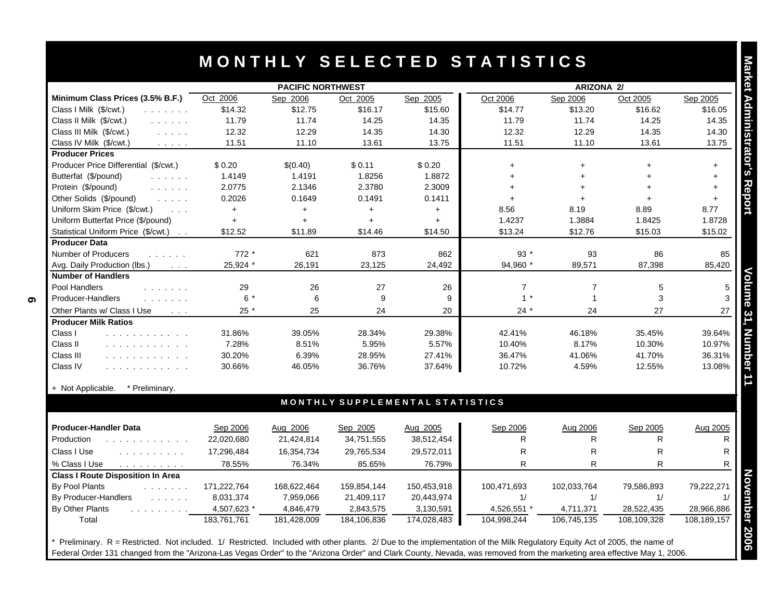|                                                                                                                                                  | <b>PACIFIC NORTHWEST</b> |                 |                 |                                 | <b>ARIZONA 2/</b>       |                               |                  |             |
|--------------------------------------------------------------------------------------------------------------------------------------------------|--------------------------|-----------------|-----------------|---------------------------------|-------------------------|-------------------------------|------------------|-------------|
| Minimum Class Prices (3.5% B.F.)                                                                                                                 | Oct 2006                 | Sep 2006        | Oct 2005        | Sep 2005                        | Oct 2006                | Sep 2006                      | Oct 2005         | Sep 2005    |
| Class I Milk (\$/cwt.)<br>and a straight                                                                                                         | \$14.32                  | \$12.75         | \$16.17         | \$15.60                         | \$14.77                 | \$13.20                       | \$16.62          | \$16.05     |
| Class II Milk (\$/cwt.)<br>and a straight                                                                                                        | 11.79                    | 11.74           | 14.25           | 14.35                           | 11.79                   | 11.74                         | 14.25            | 14.35       |
| Class III Milk (\$/cwt.)<br>and the same                                                                                                         | 12.32                    | 12.29           | 14.35           | 14.30                           | 12.32                   | 12.29                         | 14.35            | 14.30       |
| Class IV Milk (\$/cwt.)<br>$\mathcal{L}^{\mathcal{A}}$ , $\mathcal{L}^{\mathcal{A}}$ , $\mathcal{L}^{\mathcal{A}}$ , $\mathcal{L}^{\mathcal{A}}$ | 11.51                    | 11.10           | 13.61           | 13.75                           | 11.51                   | 11.10                         | 13.61            | 13.75       |
| <b>Producer Prices</b>                                                                                                                           |                          |                 |                 |                                 |                         |                               |                  |             |
| Producer Price Differential (\$/cwt.)                                                                                                            | \$0.20                   | \$(0.40)        | \$0.11          | \$0.20                          | $\ddot{}$               | $\ddot{}$                     |                  | $\ddot{}$   |
| Butterfat (\$/pound)                                                                                                                             | 1.4149                   | 1.4191          | 1.8256          | 1.8872                          | $\ddot{}$               |                               |                  | $\ddot{}$   |
| Protein (\$/pound)<br>and the state of                                                                                                           | 2.0775                   | 2.1346          | 2.3780          | 2.3009                          | $+$                     | $+$                           | $\ddot{}$        | $\ddot{}$   |
| Other Solids (\$/pound)<br>$\mathcal{L}^{\mathcal{A}}$ , $\mathcal{L}^{\mathcal{A}}$ , $\mathcal{L}^{\mathcal{A}}$ , $\mathcal{L}^{\mathcal{A}}$ | 0.2026                   | 0.1649          | 0.1491          | 0.1411                          | $+$                     | $\ddot{}$                     |                  | $+$         |
| Uniform Skim Price (\$/cwt.)<br>$\sim 100$                                                                                                       | $+$                      | $\ddot{}$       | $+$             | $+$                             | 8.56                    | 8.19                          | 8.89             | 8.77        |
| Uniform Butterfat Price (\$/pound)                                                                                                               | $\ddot{}$                | $\ddot{}$       | $+$             | $+$                             | 1.4237                  | 1.3884                        | 1.8425           | 1.8728      |
| Statistical Uniform Price (\$/cwt.)                                                                                                              | \$12.52                  | \$11.89         | \$14.46         | \$14.50                         | \$13.24                 | \$12.76                       | \$15.03          | \$15.02     |
| <b>Producer Data</b>                                                                                                                             |                          |                 |                 |                                 |                         |                               |                  |             |
| Number of Producers<br>and the state of                                                                                                          | $772*$                   | 621             | 873             | 862                             | $93*$                   | 93                            | 86               | 85          |
| Avg. Daily Production (lbs.)<br>$\sim 100$ km s $^{-1}$                                                                                          | 25,924 *                 | 26,191          | 23,125          | 24,492                          | 94,960 *                | 89,571                        | 87,398           | 85,420      |
| <b>Number of Handlers</b>                                                                                                                        |                          |                 | 27              |                                 |                         |                               |                  |             |
| Pool Handlers<br>and the second control                                                                                                          | 29<br>$6*$               | 26<br>6         | 9               | 26<br>9                         | $\overline{7}$<br>$1 *$ | $\overline{7}$<br>$\mathbf 1$ | 5<br>3           |             |
| Producer-Handlers<br>and a straight and                                                                                                          |                          |                 |                 |                                 |                         |                               |                  |             |
| Other Plants w/ Class I Use<br>$\sim 100$ km s $^{-1}$                                                                                           | $25 *$                   | 25              | 24              | 20                              | $24 *$                  | 24                            | 27               | 27          |
| <b>Producer Milk Ratios</b>                                                                                                                      |                          |                 |                 |                                 |                         |                               |                  | 39.64%      |
| Class I<br>.<br>Class II<br>.                                                                                                                    | 31.86%<br>7.28%          | 39.05%<br>8.51% | 28.34%<br>5.95% | 29.38%<br>5.57%                 | 42.41%<br>10.40%        | 46.18%<br>8.17%               | 35.45%<br>10.30% | 10.97%      |
| Class III                                                                                                                                        | 30.20%                   | 6.39%           | 28.95%          | 27.41%                          | 36.47%                  | 41.06%                        | 41.70%           | 36.31%      |
| .<br>Class IV                                                                                                                                    | 30.66%                   | 46.05%          | 36.76%          | 37.64%                          | 10.72%                  | 4.59%                         | 12.55%           | 13.08%      |
| .                                                                                                                                                |                          |                 |                 |                                 |                         |                               |                  |             |
| + Not Applicable.<br>* Preliminary.                                                                                                              |                          |                 |                 | MONTHLY SUPPLEMENTAL STATISTICS |                         |                               |                  |             |
|                                                                                                                                                  |                          |                 |                 |                                 |                         |                               |                  |             |
| <b>Producer-Handler Data</b>                                                                                                                     | Sep 2006                 | Aug 2006        | Sep 2005        | Aug 2005                        | Sep 2006                | Aug 2006                      | Sep 2005         | Aug 2005    |
| Production<br>a a a a a a a a a a a a                                                                                                            | 22,020,680               | 21,424,814      | 34,751,555      | 38,512,454                      | R                       | R                             | R                |             |
| Class I Use<br>.                                                                                                                                 | 17,296,484               | 16,354,734      | 29,765,534      | 29,572,011                      | R                       | R                             | $\mathsf{R}$     |             |
| % Class I Use<br>and a straight and a straight                                                                                                   | 78.55%                   | 76.34%          | 85.65%          | 76.79%                          | $\mathsf{R}$            | R                             | R                |             |
| <b>Class I Route Disposition In Area</b>                                                                                                         |                          |                 |                 |                                 |                         |                               |                  |             |
| By Pool Plants                                                                                                                                   | 171,222,764              | 168,622,464     | 159,854,144     | 150,453,918                     | 100,471,693             | 102,033,764                   | 79,586,893       | 79,222,271  |
| By Producer-Handlers<br>and the state                                                                                                            | 8,031,374                | 7,959,066       | 21,409,117      | 20,443,974                      | 1/                      | 1/                            | 1/               |             |
| By Other Plants<br>and the series of the series                                                                                                  | 4,507,623 *              | 4,846,479       | 2,843,575       | 3,130,591                       | 4,526,551 *             | 4,711,371                     | 28,522,435       | 28,966,886  |
| Total                                                                                                                                            | 183,761,761              | 181,428,009     | 184,106,836     | 174,028,483                     | 104,998,244             | 106,745,135                   | 108,109,328      | 108,189,157 |

#### + Not Applicable. \* Preliminary.

| <b>Producer-Handler Data</b><br>Production<br>Class I Use                                                                                                                                                                                                 | Sep 2006<br>22,020,680<br>17,296,484 | Aug 2006<br>21,424,814<br>16,354,734 | Sep 2005<br>34,751,555<br>29,765,534 | Aug 2005<br>38,512,454<br>29,572,011 | Sep 2006<br>R.<br>R. | <u>Aug 2006</u> | Sep 2005<br>ĸ<br>R | Aug 2005    |
|-----------------------------------------------------------------------------------------------------------------------------------------------------------------------------------------------------------------------------------------------------------|--------------------------------------|--------------------------------------|--------------------------------------|--------------------------------------|----------------------|-----------------|--------------------|-------------|
| % Class I Use                                                                                                                                                                                                                                             | 78.55%                               | 76.34%                               | 85.65%                               | 76.79%                               |                      |                 | R                  |             |
| <b>Class I Route Disposition In Area</b>                                                                                                                                                                                                                  |                                      |                                      |                                      |                                      |                      |                 |                    |             |
| By Pool Plants<br>.                                                                                                                                                                                                                                       | 171,222,764                          | 168.622.464                          | 159,854,144                          | 150,453,918                          | 100.471.693          | 102.033.764     | 79.586.893         | 79,222,271  |
| By Producer-Handlers<br>$\mathbf{r}$ . The set of the set of the set of the set of the set of the set of the set of the set of the set of the set of the set of the set of the set of the set of the set of the set of the set of the set of the set of t | 8,031,374                            | 7,959,066                            | 21,409,117                           | 20,443,974                           |                      |                 |                    |             |
| By Other Plants<br>the company's company's                                                                                                                                                                                                                | 4,507,623 *                          | 4,846,479                            | 2,843,575                            | 3,130,591                            | 4,526,551            | 4,711,371       | 28,522,435         | 28,966,886  |
| Total                                                                                                                                                                                                                                                     | 183.761.761                          | 181.428.009                          | 184,106,836                          | 174.028.483                          | 104,998,244          | 106,745,135     | 108,109,328        | 108,189,157 |

Preliminary. R = Restricted. Not included. 1/ Restricted. Included with other plants. 2/ Due to the implementation of the Milk Regulatory Equity Act of 2005, the name of Federal Order 131 changed from the "Arizona-Las Vegas Order" to the "Arizona Order" and Clark County, Nevada, was removed from the marketing area effective May 1, 2006.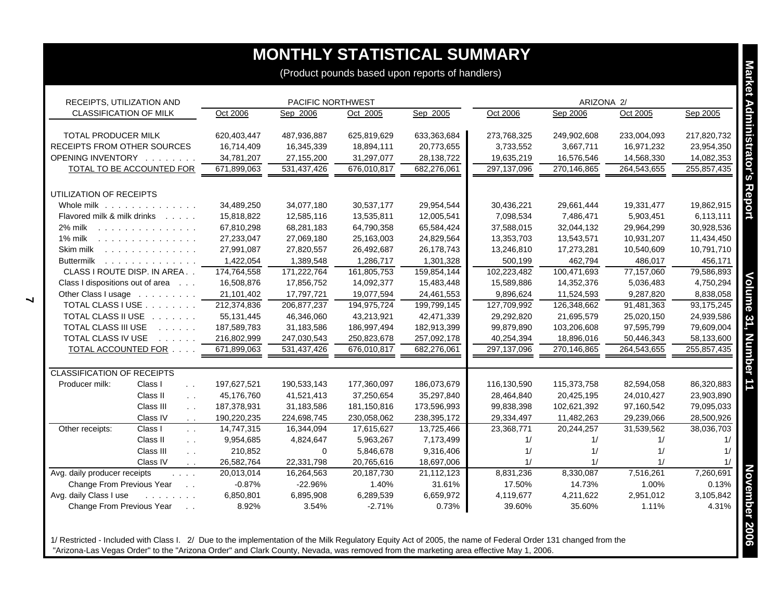## **MONTHLY STATISTICAL SUMMARY**

| RECEIPTS, UTILIZATION AND         |                                        | PACIFIC NORTHWEST |             |             |             |             | ARIZONA 2/  |             |             |
|-----------------------------------|----------------------------------------|-------------------|-------------|-------------|-------------|-------------|-------------|-------------|-------------|
| <b>CLASSIFICATION OF MILK</b>     |                                        | Oct 2006          | Sep 2006    | Oct 2005    | Sep 2005    | Oct 2006    | Sep 2006    | Oct 2005    | Sep 2005    |
| <b>TOTAL PRODUCER MILK</b>        |                                        | 620,403,447       | 487,936,887 | 625,819,629 | 633,363,684 | 273,768,325 | 249,902,608 | 233,004,093 | 217,820,732 |
| RECEIPTS FROM OTHER SOURCES       |                                        | 16,714,409        | 16,345,339  | 18,894,111  | 20,773,655  | 3,733,552   | 3,667,711   | 16,971,232  | 23,954,350  |
| OPENING INVENTORY                 |                                        | 34,781,207        | 27,155,200  | 31,297,077  | 28,138,722  | 19,635,219  | 16,576,546  | 14,568,330  | 14,082,353  |
|                                   | TOTAL TO BE ACCOUNTED FOR              | 671,899,063       | 531,437,426 | 676,010,817 | 682,276,061 | 297,137,096 | 270,146,865 | 264,543,655 | 255,857,435 |
| UTILIZATION OF RECEIPTS           |                                        |                   |             |             |             |             |             |             |             |
| Whole milk                        |                                        | 34,489,250        | 34,077,180  | 30,537,177  | 29,954,544  | 30,436,221  | 29,661,444  | 19,331,477  | 19,862,915  |
| Flavored milk & milk drinks       |                                        | 15,818,822        | 12,585,116  | 13,535,811  | 12,005,541  | 7,098,534   | 7,486,471   | 5,903,451   | 6,113,111   |
| 2% milk                           |                                        | 67,810,298        | 68,281,183  | 64,790,358  | 65,584,424  | 37,588,015  | 32,044,132  | 29,964,299  | 30,928,536  |
| 1% milk                           |                                        | 27,233,047        | 27,069,180  | 25,163,003  | 24,829,564  | 13,353,703  | 13,543,571  | 10,931,207  | 11,434,450  |
| Skim milk                         |                                        | 27,991,087        | 27,820,557  | 26,492,687  | 26,178,743  | 13,246,810  | 17,273,281  | 10,540,609  | 10,791,710  |
|                                   | Buttermilk                             | 1,422,054         | 1,389,548   | 1,286,717   | 1,301,328   | 500,199     | 462,794     | 486,017     | 456,171     |
|                                   | CLASS I ROUTE DISP. IN AREA            | 174,764,558       | 171,222,764 | 161,805,753 | 159,854,144 | 102,223,482 | 100,471,693 | 77,157,060  | 79,586,893  |
| Class I dispositions out of area  |                                        | 16,508,876        | 17,856,752  | 14,092,377  | 15,483,448  | 15,589,886  | 14,352,376  | 5,036,483   | 4,750,294   |
|                                   | Other Class I usage                    | 21,101,402        | 17,797,721  | 19,077,594  | 24,461,553  | 9,896,624   | 11,524,593  | 9,287,820   | 8,838,058   |
|                                   | TOTAL CLASS I USE                      | 212,374,836       | 206,877,237 | 194,975,724 | 199,799,145 | 127,709,992 | 126,348,662 | 91,481,363  | 93,175,245  |
|                                   | TOTAL CLASS II USE                     | 55, 131, 445      | 46,346,060  | 43,213,921  | 42,471,339  | 29,292,820  | 21,695,579  | 25,020,150  | 24,939,586  |
| TOTAL CLASS III USE               | and the state of                       | 187,589,783       | 31,183,586  | 186,997,494 | 182,913,399 | 99,879,890  | 103,206,608 | 97,595,799  | 79,609,004  |
| TOTAL CLASS IV USE                |                                        | 216,802,999       | 247,030,543 | 250,823,678 | 257,092,178 | 40,254,394  | 18,896,016  | 50,446,343  | 58,133,600  |
|                                   | TOTAL ACCOUNTED FOR                    | 671,899,063       | 531,437,426 | 676.010.817 | 682,276,061 | 297,137,096 | 270,146,865 | 264,543,655 | 255,857,435 |
| <b>CLASSIFICATION OF RECEIPTS</b> |                                        |                   |             |             |             |             |             |             |             |
| Producer milk:                    | Class I<br>$\sim$ $\sim$               | 197,627,521       | 190,533,143 | 177,360,097 | 186,073,679 | 116,130,590 | 115,373,758 | 82,594,058  | 86,320,883  |
|                                   | Class II<br>$\sim$ $\sim$              | 45,176,760        | 41,521,413  | 37,250,654  | 35,297,840  | 28,464,840  | 20,425,195  | 24,010,427  | 23,903,890  |
|                                   | Class III<br>$\sim$                    | 187,378,931       | 31,183,586  | 181,150,816 | 173,596,993 | 99,838,398  | 102,621,392 | 97,160,542  | 79,095,033  |
|                                   | Class IV<br>$\sim$ $\sim$              | 190,220,235       | 224,698,745 | 230,058,062 | 238,395,172 | 29,334,497  | 11,482,263  | 29,239,066  | 28,500,926  |
| Other receipts:                   | Class I<br>$\sim$ $\sim$               | 14,747,315        | 16,344,094  | 17,615,627  | 13,725,466  | 23,368,771  | 20,244,257  | 31,539,562  | 38,036,703  |
|                                   | Class II<br>$\sim$ $\sim$              | 9,954,685         | 4,824,647   | 5,963,267   | 7,173,499   | 1/          | 1/          | 1/          | 1/          |
|                                   | Class III<br>$\sim$ $\sim$             | 210,852           | $\mathbf 0$ | 5,846,678   | 9,316,406   | 1/          | 1/          | 1/          | 1/          |
|                                   | Class IV<br>$\mathcal{L}^{\text{max}}$ | 26,582,764        | 22,331,798  | 20,765,616  | 18,697,006  | 1/          | 1/          | 1/          | 1/          |
| Avg. daily producer receipts      | and a series                           | 20,013,014        | 16,264,563  | 20,187,730  | 21,112,123  | 8,831,236   | 8,330,087   | 7,516,261   | 7,260,691   |
| Change From Previous Year         | $\sim 10$                              | $-0.87%$          | $-22.96%$   | 1.40%       | 31.61%      | 17.50%      | 14.73%      | 1.00%       | 0.13%       |
| Avg. daily Class I use            | and a straight and                     | 6,850,801         | 6,895,908   | 6,289,539   | 6,659,972   | 4,119,677   | 4,211,622   | 2,951,012   | 3,105,842   |
| Change From Previous Year         | $\sim$ $\sim$                          | 8.92%             | 3.54%       | $-2.71%$    | 0.73%       | 39.60%      | 35.60%      | 1.11%       | 4.31%       |

1/ Restricted - Included with Class I. 2/ Due to the implementation of the Milk Regulatory Equity Act of 2005, the name of Federal Order 131 changed from the "Arizona-Las Vegas Order" to the "Arizona Order" and Clark County, Nevada, was removed from the marketing area effective May 1, 2006.